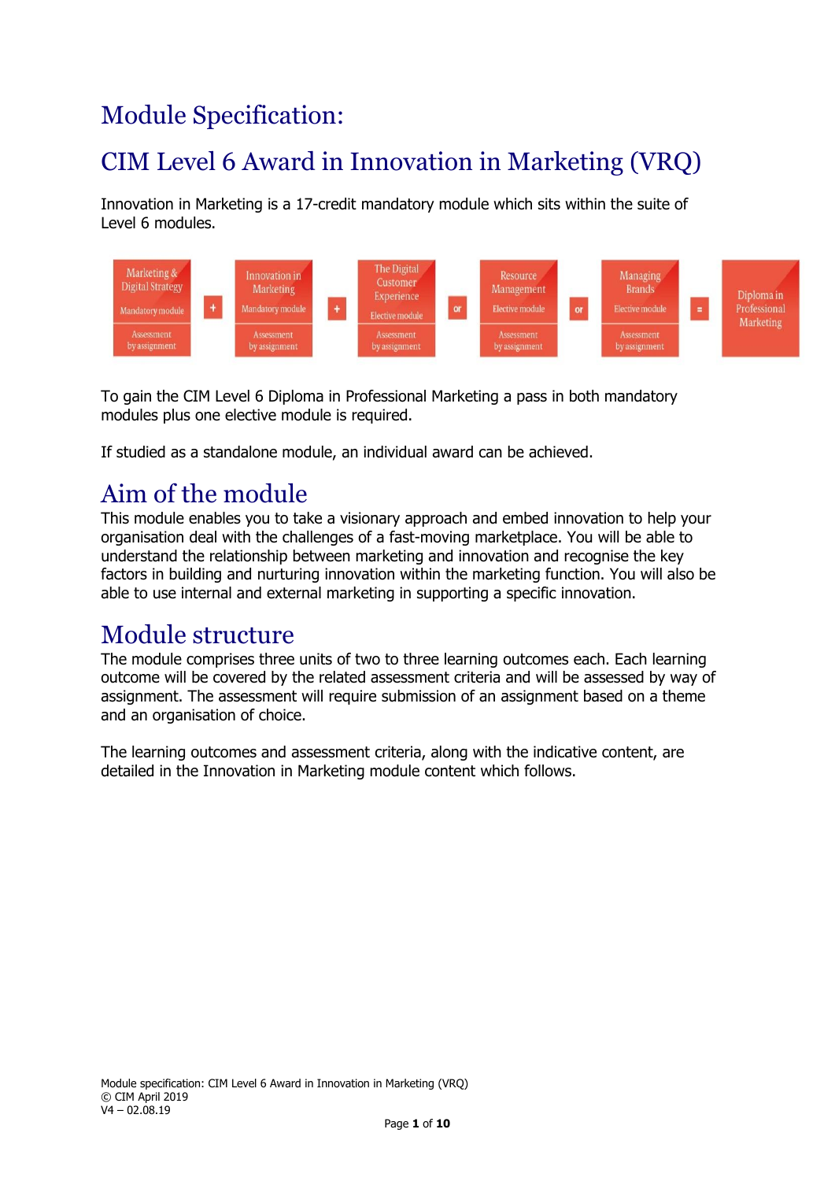# Module Specification:

# CIM Level 6 Award in Innovation in Marketing (VRQ)

Innovation in Marketing is a 17-credit mandatory module which sits within the suite of Level 6 modules.



To gain the CIM Level 6 Diploma in Professional Marketing a pass in both mandatory modules plus one elective module is required.

If studied as a standalone module, an individual award can be achieved.

### Aim of the module

This module enables you to take a visionary approach and embed innovation to help your organisation deal with the challenges of a fast-moving marketplace. You will be able to understand the relationship between marketing and innovation and recognise the key factors in building and nurturing innovation within the marketing function. You will also be able to use internal and external marketing in supporting a specific innovation.

### Module structure

The module comprises three units of two to three learning outcomes each. Each learning outcome will be covered by the related assessment criteria and will be assessed by way of assignment. The assessment will require submission of an assignment based on a theme and an organisation of choice.

The learning outcomes and assessment criteria, along with the indicative content, are detailed in the Innovation in Marketing module content which follows.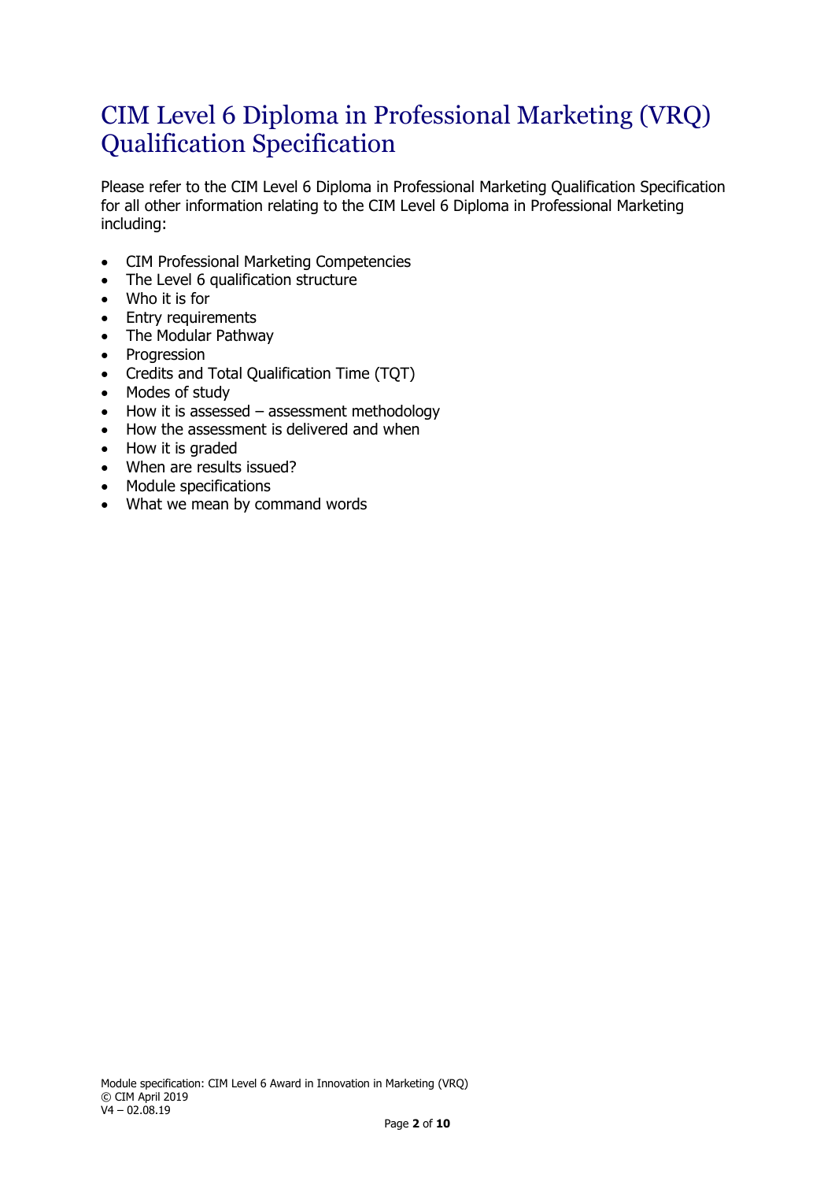### CIM Level 6 Diploma in Professional Marketing (VRQ) Qualification Specification

Please refer to the CIM Level 6 Diploma in Professional Marketing Qualification Specification for all other information relating to the CIM Level 6 Diploma in Professional Marketing including:

- CIM Professional Marketing Competencies
- The Level 6 qualification structure
- Who it is for
- Entry requirements
- The Modular Pathway
- Progression
- Credits and Total Qualification Time (TQT)
- Modes of study
- How it is assessed assessment methodology
- How the assessment is delivered and when
- How it is graded
- When are results issued?
- Module specifications
- What we mean by command words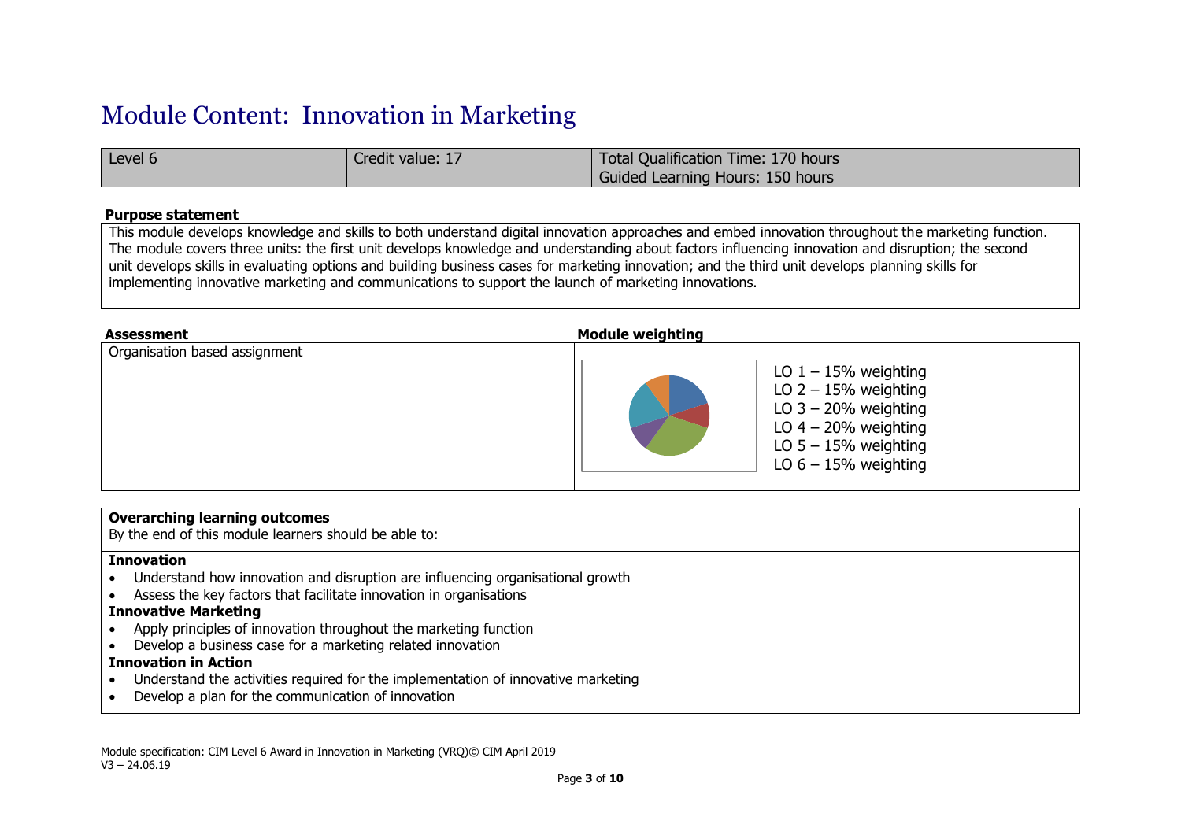## Module Content: Innovation in Marketing

| Level 6 | Credit value: 17 | Total Qualification Time: 170 hours |
|---------|------------------|-------------------------------------|
|         |                  | Guided Learning Hours: 150 hours    |

#### **Purpose statement**

This module develops knowledge and skills to both understand digital innovation approaches and embed innovation throughout the marketing function. The module covers three units: the first unit develops knowledge and understanding about factors influencing innovation and disruption; the second unit develops skills in evaluating options and building business cases for marketing innovation; and the third unit develops planning skills for implementing innovative marketing and communications to support the launch of marketing innovations.

| <b>Assessment</b>             | <b>Module weighting</b>                                                                                                                                  |
|-------------------------------|----------------------------------------------------------------------------------------------------------------------------------------------------------|
| Organisation based assignment | LO $1 - 15%$ weighting<br>LO $2 - 15%$ weighting<br>LO $3 - 20%$ weighting<br>LO $4 - 20%$ weighting<br>LO $5 - 15%$ weighting<br>LO $6 - 15%$ weighting |

#### **Overarching learning outcomes**

By the end of this module learners should be able to:

#### **Innovation**

- Understand how innovation and disruption are influencing organisational growth
- Assess the key factors that facilitate innovation in organisations

### **Innovative Marketing**

- Apply principles of innovation throughout the marketing function
- Develop a business case for a marketing related innovation

#### **Innovation in Action**

- Understand the activities required for the implementation of innovative marketing
- Develop a plan for the communication of innovation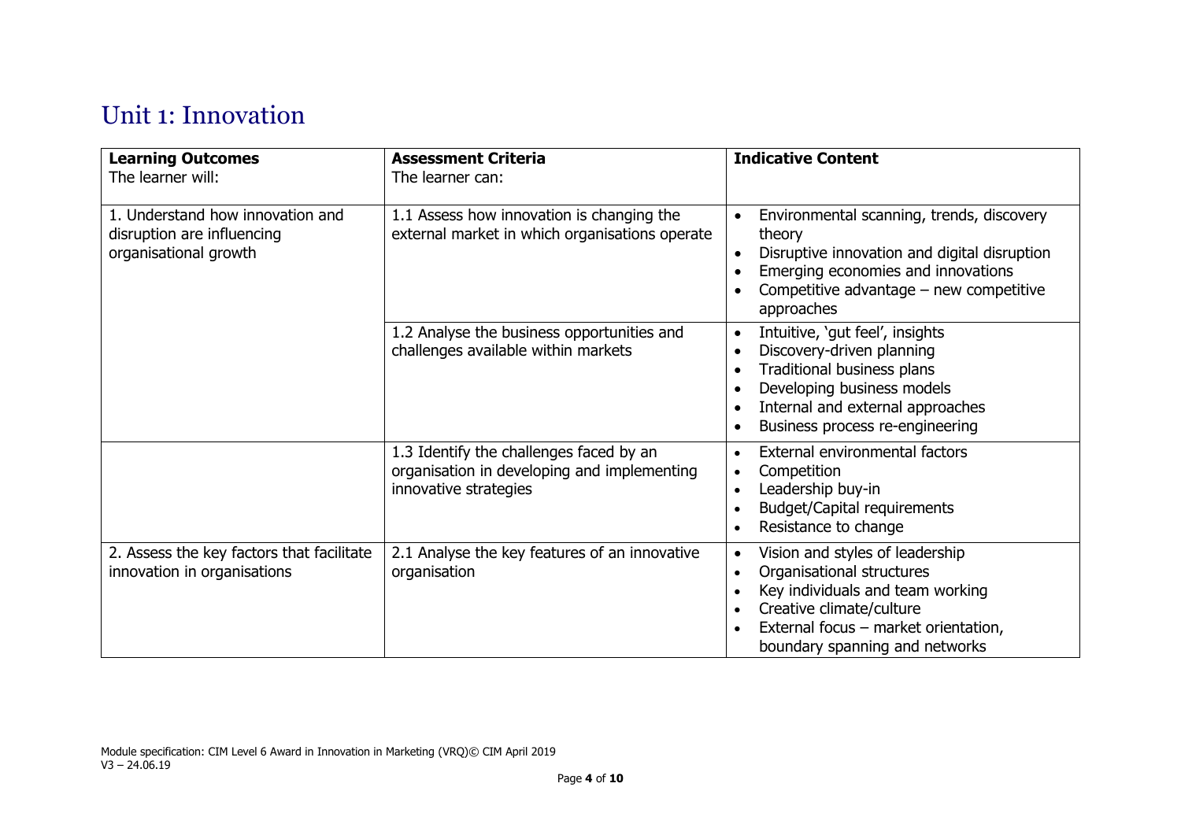## Unit 1: Innovation

| <b>Learning Outcomes</b><br>The learner will:                                           | <b>Assessment Criteria</b><br>The learner can:                                                                  | <b>Indicative Content</b>                                                                                                                                                                                                                                                     |
|-----------------------------------------------------------------------------------------|-----------------------------------------------------------------------------------------------------------------|-------------------------------------------------------------------------------------------------------------------------------------------------------------------------------------------------------------------------------------------------------------------------------|
| 1. Understand how innovation and<br>disruption are influencing<br>organisational growth | 1.1 Assess how innovation is changing the<br>external market in which organisations operate                     | Environmental scanning, trends, discovery<br>$\bullet$<br>theory<br>Disruptive innovation and digital disruption<br>$\bullet$<br>Emerging economies and innovations<br>$\bullet$<br>Competitive advantage - new competitive<br>$\bullet$<br>approaches                        |
|                                                                                         | 1.2 Analyse the business opportunities and<br>challenges available within markets                               | Intuitive, 'gut feel', insights<br>$\bullet$<br>Discovery-driven planning<br>$\bullet$<br>Traditional business plans<br>$\bullet$<br>Developing business models<br>$\bullet$<br>Internal and external approaches<br>$\bullet$<br>Business process re-engineering<br>$\bullet$ |
|                                                                                         | 1.3 Identify the challenges faced by an<br>organisation in developing and implementing<br>innovative strategies | External environmental factors<br>$\bullet$<br>Competition<br>$\bullet$<br>Leadership buy-in<br>$\bullet$<br><b>Budget/Capital requirements</b><br>$\bullet$<br>Resistance to change<br>$\bullet$                                                                             |
| 2. Assess the key factors that facilitate<br>innovation in organisations                | 2.1 Analyse the key features of an innovative<br>organisation                                                   | Vision and styles of leadership<br>$\bullet$<br>Organisational structures<br>$\bullet$<br>Key individuals and team working<br>$\bullet$<br>Creative climate/culture<br>$\bullet$<br>External focus - market orientation,<br>$\bullet$<br>boundary spanning and networks       |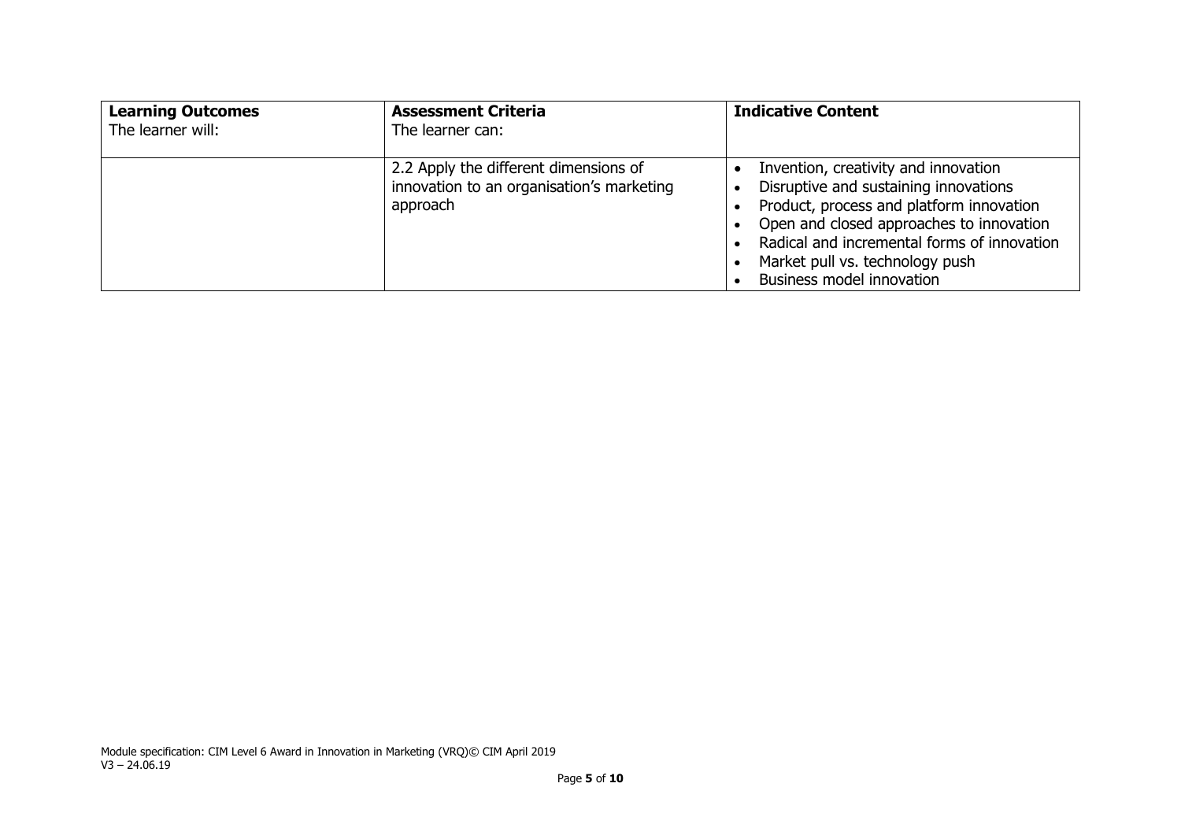| <b>Learning Outcomes</b><br>The learner will: | <b>Assessment Criteria</b><br>The learner can:                                                 | <b>Indicative Content</b>                                                                                                                                                                                                                                                                         |
|-----------------------------------------------|------------------------------------------------------------------------------------------------|---------------------------------------------------------------------------------------------------------------------------------------------------------------------------------------------------------------------------------------------------------------------------------------------------|
|                                               | 2.2 Apply the different dimensions of<br>innovation to an organisation's marketing<br>approach | Invention, creativity and innovation<br>Disruptive and sustaining innovations<br>$\bullet$<br>Product, process and platform innovation<br>Open and closed approaches to innovation<br>Radical and incremental forms of innovation<br>Market pull vs. technology push<br>Business model innovation |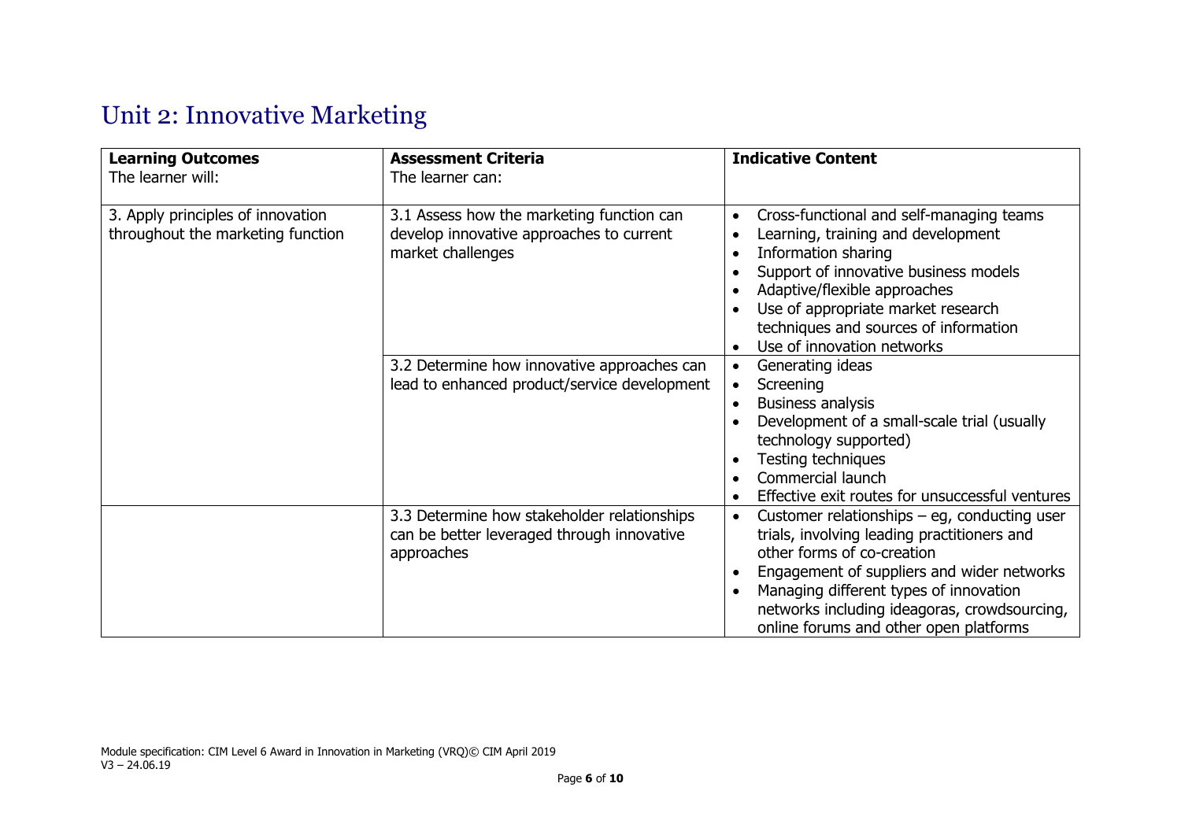## Unit 2: Innovative Marketing

| <b>Learning Outcomes</b><br>The learner will:                          | <b>Assessment Criteria</b><br>The learner can:                                                             | <b>Indicative Content</b>                                                                                                                                                                                                                                                                                                                                                 |
|------------------------------------------------------------------------|------------------------------------------------------------------------------------------------------------|---------------------------------------------------------------------------------------------------------------------------------------------------------------------------------------------------------------------------------------------------------------------------------------------------------------------------------------------------------------------------|
| 3. Apply principles of innovation<br>throughout the marketing function | 3.1 Assess how the marketing function can<br>develop innovative approaches to current<br>market challenges | Cross-functional and self-managing teams<br>$\bullet$<br>Learning, training and development<br>$\bullet$<br>Information sharing<br>$\bullet$<br>Support of innovative business models<br>$\bullet$<br>Adaptive/flexible approaches<br>$\bullet$<br>Use of appropriate market research<br>$\bullet$<br>techniques and sources of information<br>Use of innovation networks |
|                                                                        | 3.2 Determine how innovative approaches can<br>lead to enhanced product/service development                | Generating ideas<br>$\bullet$<br>Screening<br>$\bullet$<br><b>Business analysis</b><br>$\bullet$<br>Development of a small-scale trial (usually<br>technology supported)<br>Testing techniques<br>$\bullet$<br>Commercial launch<br>$\bullet$<br>Effective exit routes for unsuccessful ventures<br>$\bullet$                                                             |
|                                                                        | 3.3 Determine how stakeholder relationships<br>can be better leveraged through innovative<br>approaches    | Customer relationships $-$ eg, conducting user<br>$\bullet$<br>trials, involving leading practitioners and<br>other forms of co-creation<br>Engagement of suppliers and wider networks<br>$\bullet$<br>Managing different types of innovation<br>$\bullet$<br>networks including ideagoras, crowdsourcing,<br>online forums and other open platforms                      |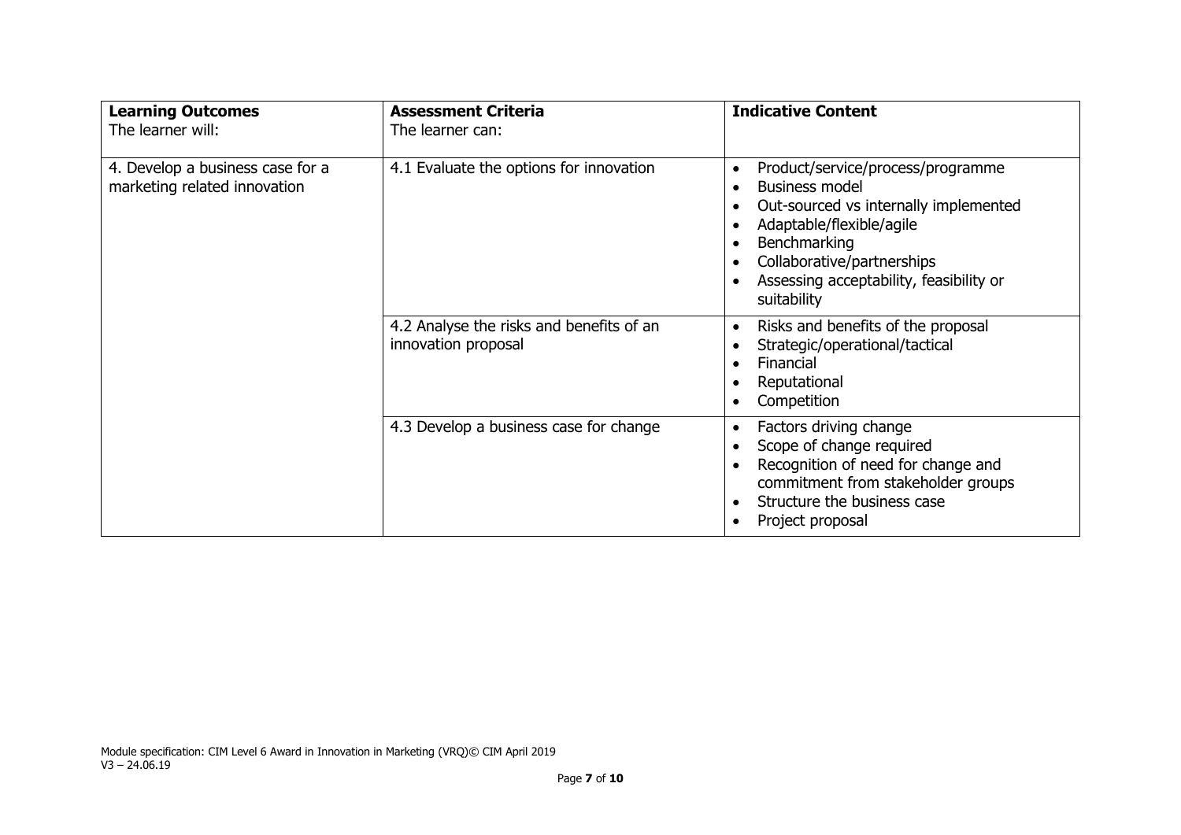| <b>Learning Outcomes</b><br>The learner will:                    | <b>Assessment Criteria</b><br>The learner can:                  | <b>Indicative Content</b>                                                                                                                                                                                                                                                                   |
|------------------------------------------------------------------|-----------------------------------------------------------------|---------------------------------------------------------------------------------------------------------------------------------------------------------------------------------------------------------------------------------------------------------------------------------------------|
| 4. Develop a business case for a<br>marketing related innovation | 4.1 Evaluate the options for innovation                         | Product/service/process/programme<br>$\bullet$<br><b>Business model</b><br>$\bullet$<br>Out-sourced vs internally implemented<br>Adaptable/flexible/agile<br>$\bullet$<br>Benchmarking<br>Collaborative/partnerships<br>$\bullet$<br>Assessing acceptability, feasibility or<br>suitability |
|                                                                  | 4.2 Analyse the risks and benefits of an<br>innovation proposal | Risks and benefits of the proposal<br>$\bullet$<br>Strategic/operational/tactical<br>$\bullet$<br>Financial<br>$\bullet$<br>Reputational<br>Competition<br>$\bullet$                                                                                                                        |
|                                                                  | 4.3 Develop a business case for change                          | Factors driving change<br>$\bullet$<br>Scope of change required<br>$\bullet$<br>Recognition of need for change and<br>commitment from stakeholder groups<br>Structure the business case<br>$\bullet$<br>Project proposal                                                                    |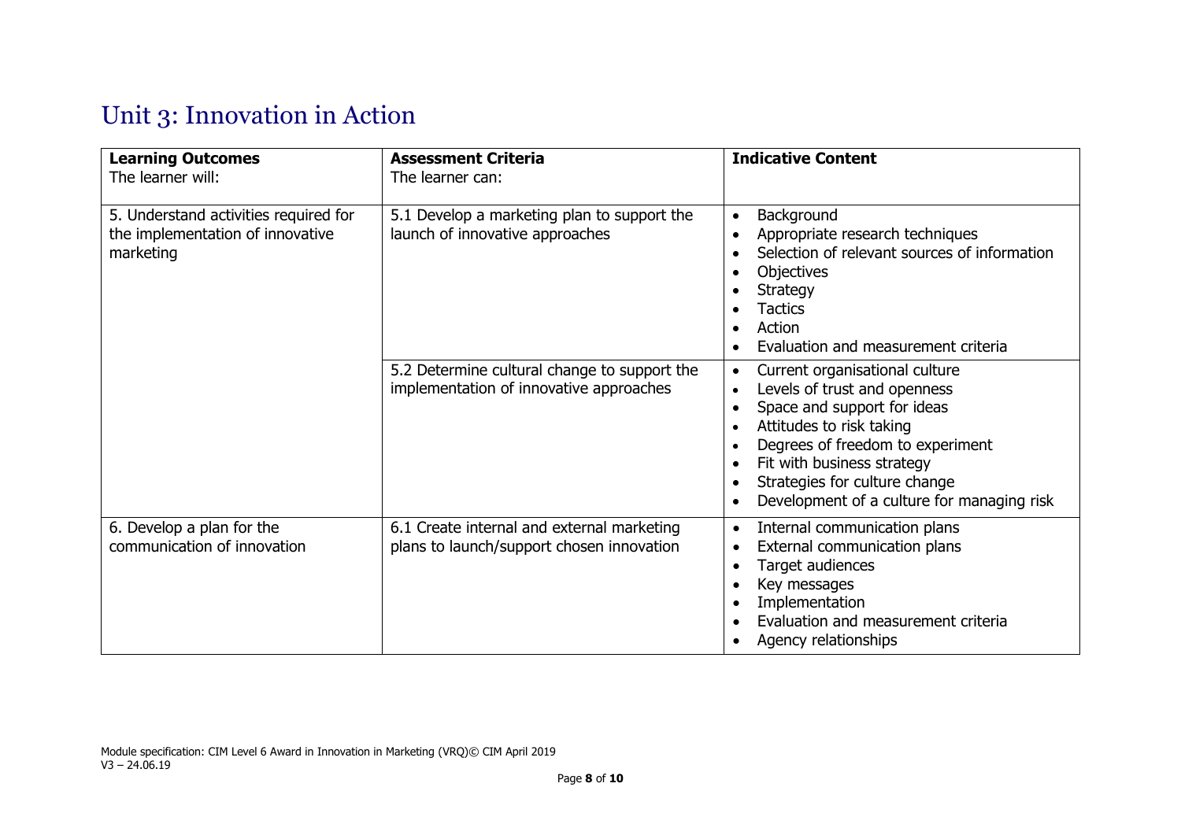# Unit 3: Innovation in Action

| <b>Learning Outcomes</b><br>The learner will:                                          | <b>Assessment Criteria</b><br>The learner can:                                          | <b>Indicative Content</b>                                                                                                                                                                                                                                                                                                                                                          |
|----------------------------------------------------------------------------------------|-----------------------------------------------------------------------------------------|------------------------------------------------------------------------------------------------------------------------------------------------------------------------------------------------------------------------------------------------------------------------------------------------------------------------------------------------------------------------------------|
| 5. Understand activities required for<br>the implementation of innovative<br>marketing | 5.1 Develop a marketing plan to support the<br>launch of innovative approaches          | Background<br>$\bullet$<br>Appropriate research techniques<br>$\bullet$<br>Selection of relevant sources of information<br>$\bullet$<br>Objectives<br>$\bullet$<br><b>Strategy</b><br>$\bullet$<br><b>Tactics</b><br>$\bullet$<br>Action<br>$\bullet$<br>Evaluation and measurement criteria                                                                                       |
|                                                                                        | 5.2 Determine cultural change to support the<br>implementation of innovative approaches | Current organisational culture<br>$\bullet$<br>Levels of trust and openness<br>$\bullet$<br>Space and support for ideas<br>$\bullet$<br>Attitudes to risk taking<br>$\bullet$<br>Degrees of freedom to experiment<br>$\bullet$<br>Fit with business strategy<br>$\bullet$<br>Strategies for culture change<br>$\bullet$<br>Development of a culture for managing risk<br>$\bullet$ |
| 6. Develop a plan for the<br>communication of innovation                               | 6.1 Create internal and external marketing<br>plans to launch/support chosen innovation | Internal communication plans<br>$\bullet$<br>External communication plans<br>$\bullet$<br>Target audiences<br>$\bullet$<br>Key messages<br>$\bullet$<br>Implementation<br>$\bullet$<br>Evaluation and measurement criteria<br>$\bullet$<br>Agency relationships<br>٠                                                                                                               |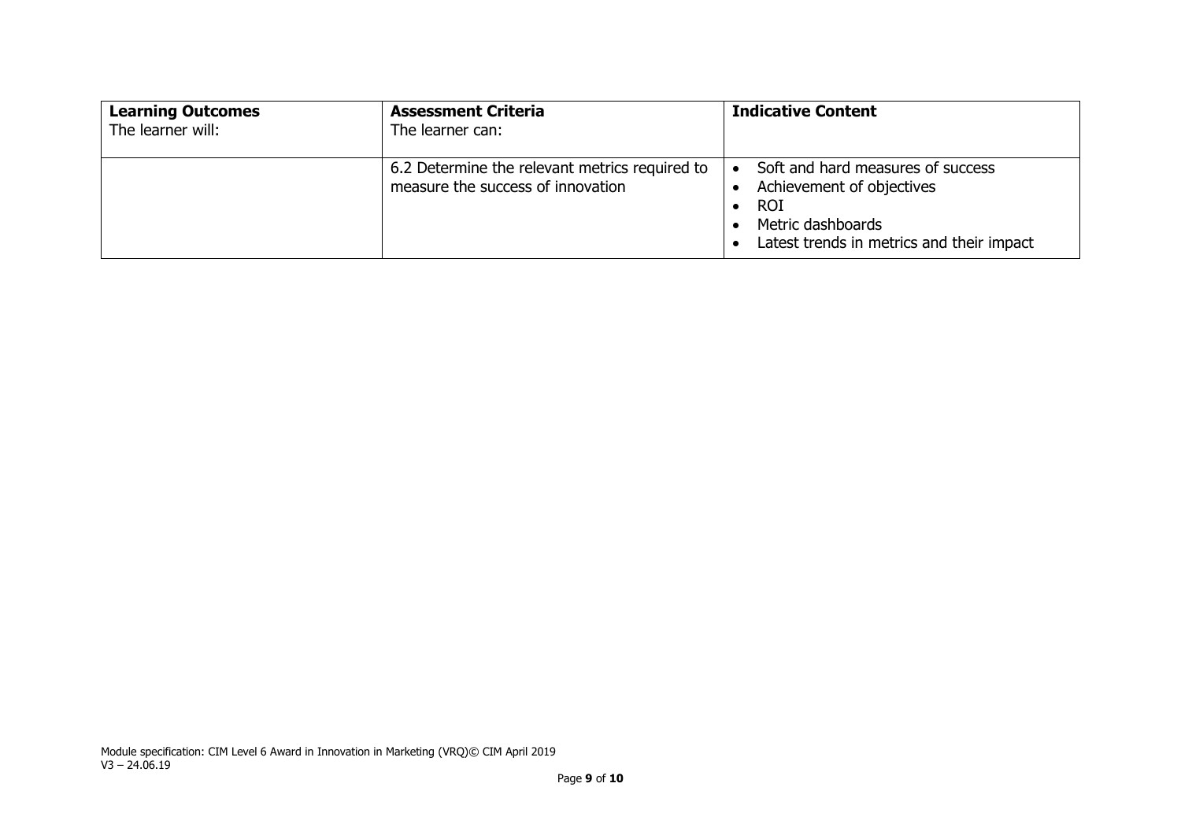| <b>Learning Outcomes</b><br>The learner will: | <b>Assessment Criteria</b><br>The learner can:                                      | <b>Indicative Content</b>                                                                                                                                                |
|-----------------------------------------------|-------------------------------------------------------------------------------------|--------------------------------------------------------------------------------------------------------------------------------------------------------------------------|
|                                               | 6.2 Determine the relevant metrics required to<br>measure the success of innovation | Soft and hard measures of success<br>$\bullet$<br>Achievement of objectives<br><b>ROI</b><br>$\bullet$<br>Metric dashboards<br>Latest trends in metrics and their impact |